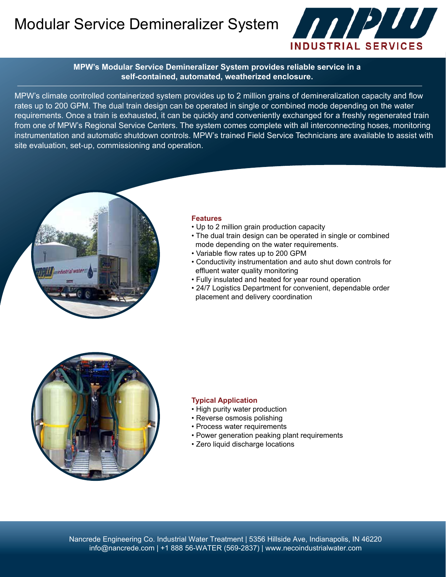Modular Service Demineralizer System



**MPW's Modular Service Demineralizer System provides reliable service in a self-contained, automated, weatherized enclosure.**

MPW's climate controlled containerized system provides up to 2 million grains of demineralization capacity and flow rates up to 200 GPM. The dual train design can be operated in single or combined mode depending on the water requirements. Once a train is exhausted, it can be quickly and conveniently exchanged for a freshly regenerated train from one of MPW's Regional Service Centers. The system comes complete with all interconnecting hoses, monitoring instrumentation and automatic shutdown controls. MPW's trained Field Service Technicians are available to assist with site evaluation, set-up, commissioning and operation.



#### **Features**

- Up to 2 million grain production capacity
- The dual train design can be operated in single or combined mode depending on the water requirements.
- Variable flow rates up to 200 GPM
- Conductivity instrumentation and auto shut down controls for effluent water quality monitoring
- Fully insulated and heated for year round operation
- 24/7 Logistics Department for convenient, dependable order placement and delivery coordination



#### **Typical Application**

- High purity water production
- Reverse osmosis polishing
- Process water requirements
- Power generation peaking plant requirements
- Zero liquid discharge locations